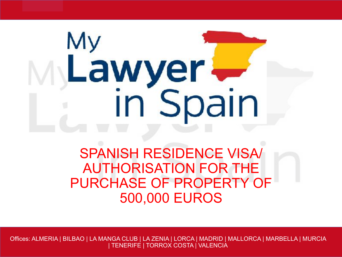# My Lawyer in Spain

#### SPANISH RESIDENCE VISA/ AUTHORISATION FOR THE PURCHASE OF PROPERTY OF 500,000 EUROS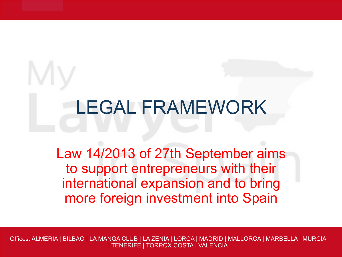# LEGAL FRAMEWORK

Law 14/2013 of 27th September aims to support entrepreneurs with their international expansion and to bring more foreign investment into Spain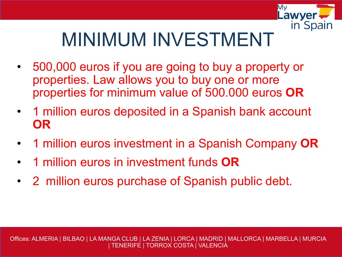

### MINIMUM INVESTMENT

- 500,000 euros if you are going to buy a property or properties. Law allows you to buy one or more properties for minimum value of 500.000 euros **OR**
- 1 million euros deposited in a Spanish bank account **OR**
- 1 million euros investment in a Spanish Company **OR**
- 1 million euros in investment funds **OR**
- 2 million euros purchase of Spanish public debt.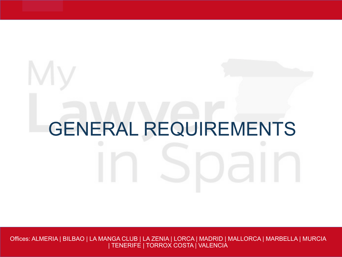# GENERAL REQUIREMENTS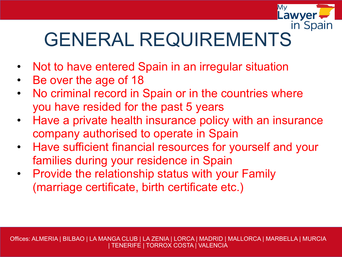

## GENERAL REQUIREMENTS

- Not to have entered Spain in an irregular situation
- Be over the age of 18
- No criminal record in Spain or in the countries where you have resided for the past 5 years
- Have a private health insurance policy with an insurance company authorised to operate in Spain
- Have sufficient financial resources for yourself and your families during your residence in Spain
- Provide the relationship status with your Family (marriage certificate, birth certificate etc.)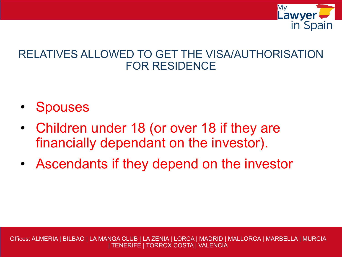

#### RELATIVES ALLOWED TO GET THE VISA/AUTHORISATION FOR RESIDENCE

- **Spouses**
- Children under 18 (or over 18 if they are financially dependant on the investor).
- Ascendants if they depend on the investor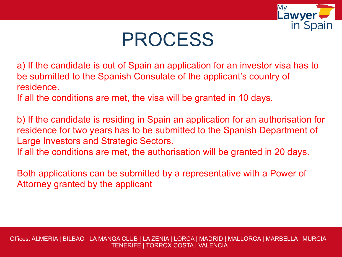

#### PROCESS

a) If the candidate is out of Spain an application for an investor visa has to be submitted to the Spanish Consulate of the applicant's country of residence.

If all the conditions are met, the visa will be granted in 10 days.

b) If the candidate is residing in Spain an application for an authorisation for residence for two years has to be submitted to the Spanish Department of Large Investors and Strategic Sectors.

If all the conditions are met, the authorisation will be granted in 20 days.

Both applications can be submitted by a representative with a Power of Attorney granted by the applicant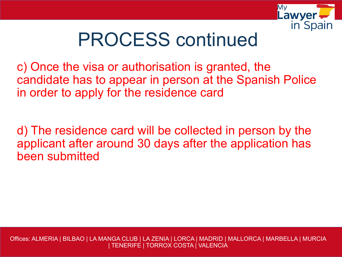

#### PROCESS continued

c) Once the visa or authorisation is granted, the candidate has to appear in person at the Spanish Police in order to apply for the residence card

d) The residence card will be collected in person by the applicant after around 30 days after the application has been submitted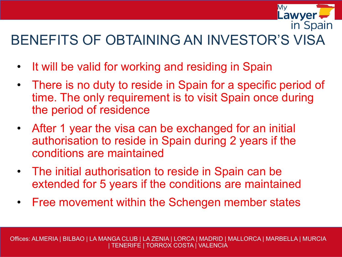#### BENEFITS OF OBTAINING AN INVESTOR'S VISA

Mv

**Lawyer** 

in Spain

- It will be valid for working and residing in Spain
- There is no duty to reside in Spain for a specific period of time. The only requirement is to visit Spain once during the period of residence
- After 1 year the visa can be exchanged for an initial authorisation to reside in Spain during 2 years if the conditions are maintained
- The initial authorisation to reside in Spain can be extended for 5 years if the conditions are maintained
- Free movement within the Schengen member states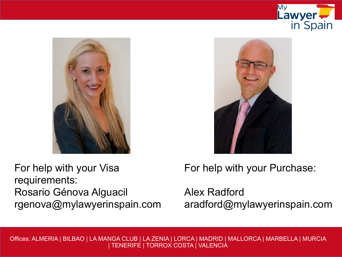





For help with your Visa requirements: Rosario Génova Alguacil rgenova@mylawyerinspain.com For help with your Purchase:

Alex Radford aradford@mylawyerinspain.com